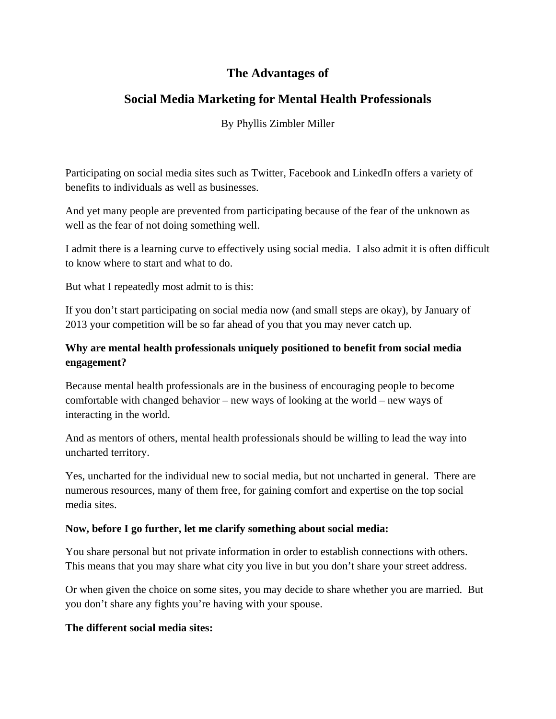# **The Advantages of**

# **Social Media Marketing for Mental Health Professionals**

### By Phyllis Zimbler Miller

Participating on social media sites such as Twitter, Facebook and LinkedIn offers a variety of benefits to individuals as well as businesses.

And yet many people are prevented from participating because of the fear of the unknown as well as the fear of not doing something well.

I admit there is a learning curve to effectively using social media. I also admit it is often difficult to know where to start and what to do.

But what I repeatedly most admit to is this:

If you don't start participating on social media now (and small steps are okay), by January of 2013 your competition will be so far ahead of you that you may never catch up.

### **Why are mental health professionals uniquely positioned to benefit from social media engagement?**

Because mental health professionals are in the business of encouraging people to become comfortable with changed behavior – new ways of looking at the world – new ways of interacting in the world.

And as mentors of others, mental health professionals should be willing to lead the way into uncharted territory.

Yes, uncharted for the individual new to social media, but not uncharted in general. There are numerous resources, many of them free, for gaining comfort and expertise on the top social media sites.

#### **Now, before I go further, let me clarify something about social media:**

You share personal but not private information in order to establish connections with others. This means that you may share what city you live in but you don't share your street address.

Or when given the choice on some sites, you may decide to share whether you are married. But you don't share any fights you're having with your spouse.

#### **The different social media sites:**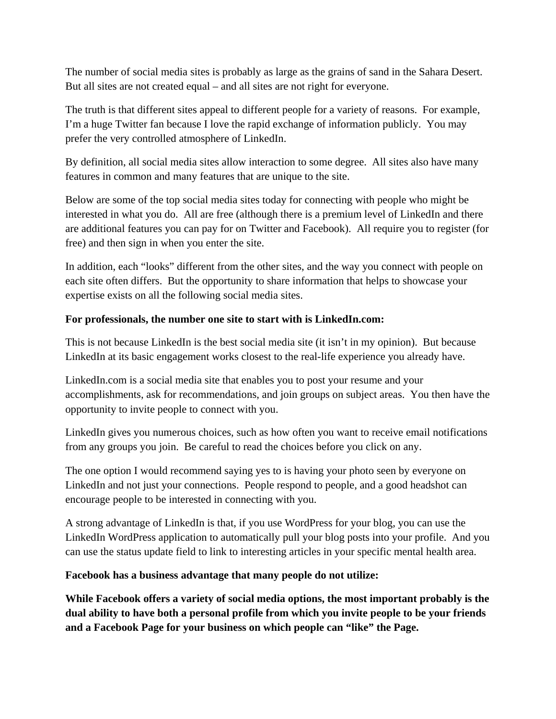The number of social media sites is probably as large as the grains of sand in the Sahara Desert. But all sites are not created equal – and all sites are not right for everyone.

The truth is that different sites appeal to different people for a variety of reasons. For example, I'm a huge Twitter fan because I love the rapid exchange of information publicly. You may prefer the very controlled atmosphere of LinkedIn.

By definition, all social media sites allow interaction to some degree. All sites also have many features in common and many features that are unique to the site.

Below are some of the top social media sites today for connecting with people who might be interested in what you do. All are free (although there is a premium level of LinkedIn and there are additional features you can pay for on Twitter and Facebook). All require you to register (for free) and then sign in when you enter the site.

In addition, each "looks" different from the other sites, and the way you connect with people on each site often differs. But the opportunity to share information that helps to showcase your expertise exists on all the following social media sites.

### **For professionals, the number one site to start with is LinkedIn.com:**

This is not because LinkedIn is the best social media site (it isn't in my opinion). But because LinkedIn at its basic engagement works closest to the real-life experience you already have.

LinkedIn.com is a social media site that enables you to post your resume and your accomplishments, ask for recommendations, and join groups on subject areas. You then have the opportunity to invite people to connect with you.

LinkedIn gives you numerous choices, such as how often you want to receive email notifications from any groups you join. Be careful to read the choices before you click on any.

The one option I would recommend saying yes to is having your photo seen by everyone on LinkedIn and not just your connections. People respond to people, and a good headshot can encourage people to be interested in connecting with you.

A strong advantage of LinkedIn is that, if you use WordPress for your blog, you can use the LinkedIn WordPress application to automatically pull your blog posts into your profile. And you can use the status update field to link to interesting articles in your specific mental health area.

#### **Facebook has a business advantage that many people do not utilize:**

**While Facebook offers a variety of social media options, the most important probably is the dual ability to have both a personal profile from which you invite people to be your friends and a Facebook Page for your business on which people can "like" the Page.**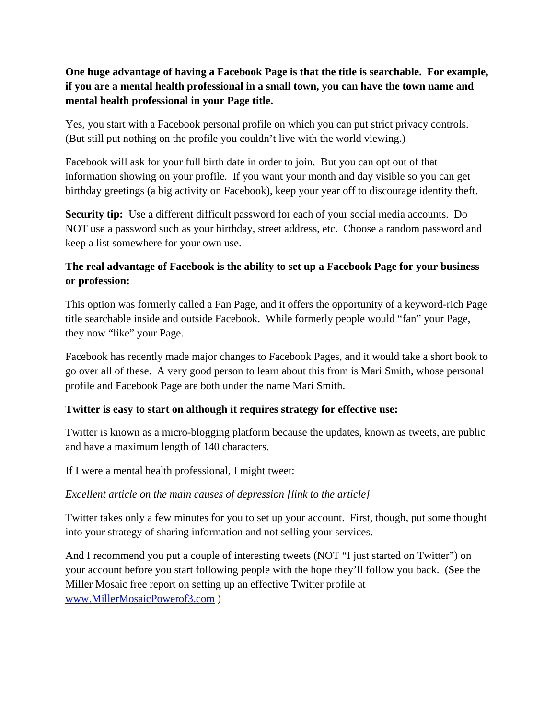### **One huge advantage of having a Facebook Page is that the title is searchable. For example, if you are a mental health professional in a small town, you can have the town name and mental health professional in your Page title.**

Yes, you start with a Facebook personal profile on which you can put strict privacy controls. (But still put nothing on the profile you couldn't live with the world viewing.)

Facebook will ask for your full birth date in order to join. But you can opt out of that information showing on your profile. If you want your month and day visible so you can get birthday greetings (a big activity on Facebook), keep your year off to discourage identity theft.

**Security tip:** Use a different difficult password for each of your social media accounts. Do NOT use a password such as your birthday, street address, etc. Choose a random password and keep a list somewhere for your own use.

### **The real advantage of Facebook is the ability to set up a Facebook Page for your business or profession:**

This option was formerly called a Fan Page, and it offers the opportunity of a keyword-rich Page title searchable inside and outside Facebook. While formerly people would "fan" your Page, they now "like" your Page.

Facebook has recently made major changes to Facebook Pages, and it would take a short book to go over all of these. A very good person to learn about this from is Mari Smith, whose personal profile and Facebook Page are both under the name Mari Smith.

### **Twitter is easy to start on although it requires strategy for effective use:**

Twitter is known as a micro-blogging platform because the updates, known as tweets, are public and have a maximum length of 140 characters.

If I were a mental health professional, I might tweet:

#### *Excellent article on the main causes of depression [link to the article]*

Twitter takes only a few minutes for you to set up your account. First, though, put some thought into your strategy of sharing information and not selling your services.

And I recommend you put a couple of interesting tweets (NOT "I just started on Twitter") on your account before you start following people with the hope they'll follow you back. (See the Miller Mosaic free report on setting up an effective Twitter profile at www.MillerMosaicPowerof3.com )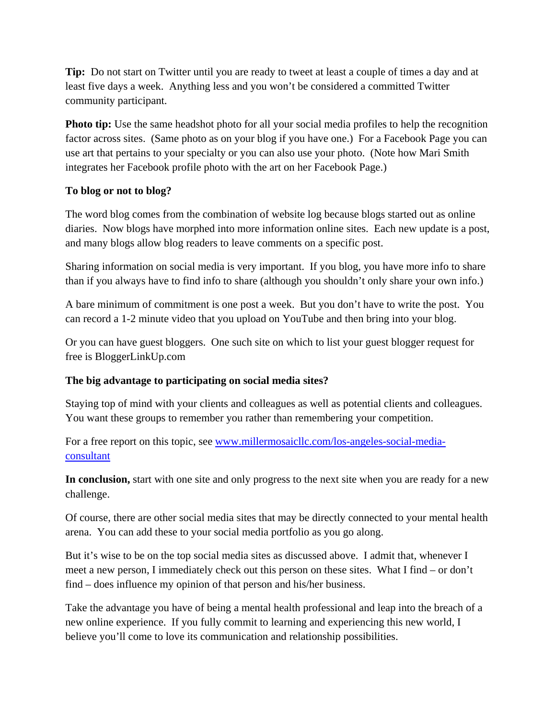**Tip:** Do not start on Twitter until you are ready to tweet at least a couple of times a day and at least five days a week. Anything less and you won't be considered a committed Twitter community participant.

**Photo tip:** Use the same headshot photo for all your social media profiles to help the recognition factor across sites. (Same photo as on your blog if you have one.) For a Facebook Page you can use art that pertains to your specialty or you can also use your photo. (Note how Mari Smith integrates her Facebook profile photo with the art on her Facebook Page.)

#### **To blog or not to blog?**

The word blog comes from the combination of website log because blogs started out as online diaries. Now blogs have morphed into more information online sites. Each new update is a post, and many blogs allow blog readers to leave comments on a specific post.

Sharing information on social media is very important. If you blog, you have more info to share than if you always have to find info to share (although you shouldn't only share your own info.)

A bare minimum of commitment is one post a week. But you don't have to write the post. You can record a 1-2 minute video that you upload on YouTube and then bring into your blog.

Or you can have guest bloggers. One such site on which to list your guest blogger request for free is BloggerLinkUp.com

### **The big advantage to participating on social media sites?**

Staying top of mind with your clients and colleagues as well as potential clients and colleagues. You want these groups to remember you rather than remembering your competition.

For a free report on this topic, see www.millermosaicllc.com/los-angeles-social-mediaconsultant

**In conclusion,** start with one site and only progress to the next site when you are ready for a new challenge.

Of course, there are other social media sites that may be directly connected to your mental health arena. You can add these to your social media portfolio as you go along.

But it's wise to be on the top social media sites as discussed above. I admit that, whenever I meet a new person, I immediately check out this person on these sites. What I find – or don't find – does influence my opinion of that person and his/her business.

Take the advantage you have of being a mental health professional and leap into the breach of a new online experience. If you fully commit to learning and experiencing this new world, I believe you'll come to love its communication and relationship possibilities.